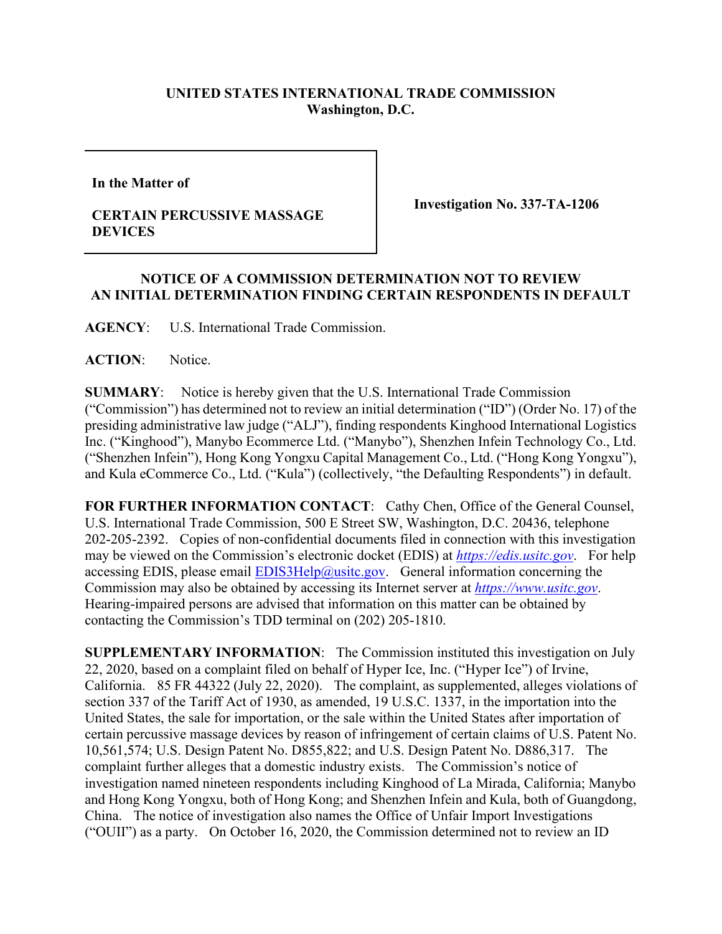## **UNITED STATES INTERNATIONAL TRADE COMMISSION Washington, D.C.**

**In the Matter of** 

## **CERTAIN PERCUSSIVE MASSAGE DEVICES**

**Investigation No. 337-TA-1206**

## **NOTICE OF A COMMISSION DETERMINATION NOT TO REVIEW AN INITIAL DETERMINATION FINDING CERTAIN RESPONDENTS IN DEFAULT**

**AGENCY**: U.S. International Trade Commission.

**ACTION**: Notice.

**SUMMARY**: Notice is hereby given that the U.S. International Trade Commission ("Commission") has determined not to review an initial determination ("ID") (Order No. 17) of the presiding administrative law judge ("ALJ"), finding respondents Kinghood International Logistics Inc. ("Kinghood"), Manybo Ecommerce Ltd. ("Manybo"), Shenzhen Infein Technology Co., Ltd. ("Shenzhen Infein"), Hong Kong Yongxu Capital Management Co., Ltd. ("Hong Kong Yongxu"), and Kula eCommerce Co., Ltd. ("Kula") (collectively, "the Defaulting Respondents") in default.

FOR FURTHER INFORMATION CONTACT: Cathy Chen, Office of the General Counsel, U.S. International Trade Commission, 500 E Street SW, Washington, D.C. 20436, telephone 202-205-2392. Copies of non-confidential documents filed in connection with this investigation may be viewed on the Commission's electronic docket (EDIS) at *[https://edis.usitc.gov](https://edis.usitc.gov/)*. For help accessing EDIS, please email  $EDIS3Help@ustc.gov$ . General information concerning the Commission may also be obtained by accessing its Internet server at *[https://www.usitc.gov](https://www.usitc.gov/)*. Hearing-impaired persons are advised that information on this matter can be obtained by contacting the Commission's TDD terminal on (202) 205-1810.

**SUPPLEMENTARY INFORMATION**: The Commission instituted this investigation on July 22, 2020, based on a complaint filed on behalf of Hyper Ice, Inc. ("Hyper Ice") of Irvine, California. 85 FR 44322 (July 22, 2020). The complaint, as supplemented, alleges violations of section 337 of the Tariff Act of 1930, as amended, 19 U.S.C. 1337, in the importation into the United States, the sale for importation, or the sale within the United States after importation of certain percussive massage devices by reason of infringement of certain claims of U.S. Patent No. 10,561,574; U.S. Design Patent No. D855,822; and U.S. Design Patent No. D886,317. The complaint further alleges that a domestic industry exists. The Commission's notice of investigation named nineteen respondents including Kinghood of La Mirada, California; Manybo and Hong Kong Yongxu, both of Hong Kong; and Shenzhen Infein and Kula, both of Guangdong, China. The notice of investigation also names the Office of Unfair Import Investigations ("OUII") as a party. On October 16, 2020, the Commission determined not to review an ID